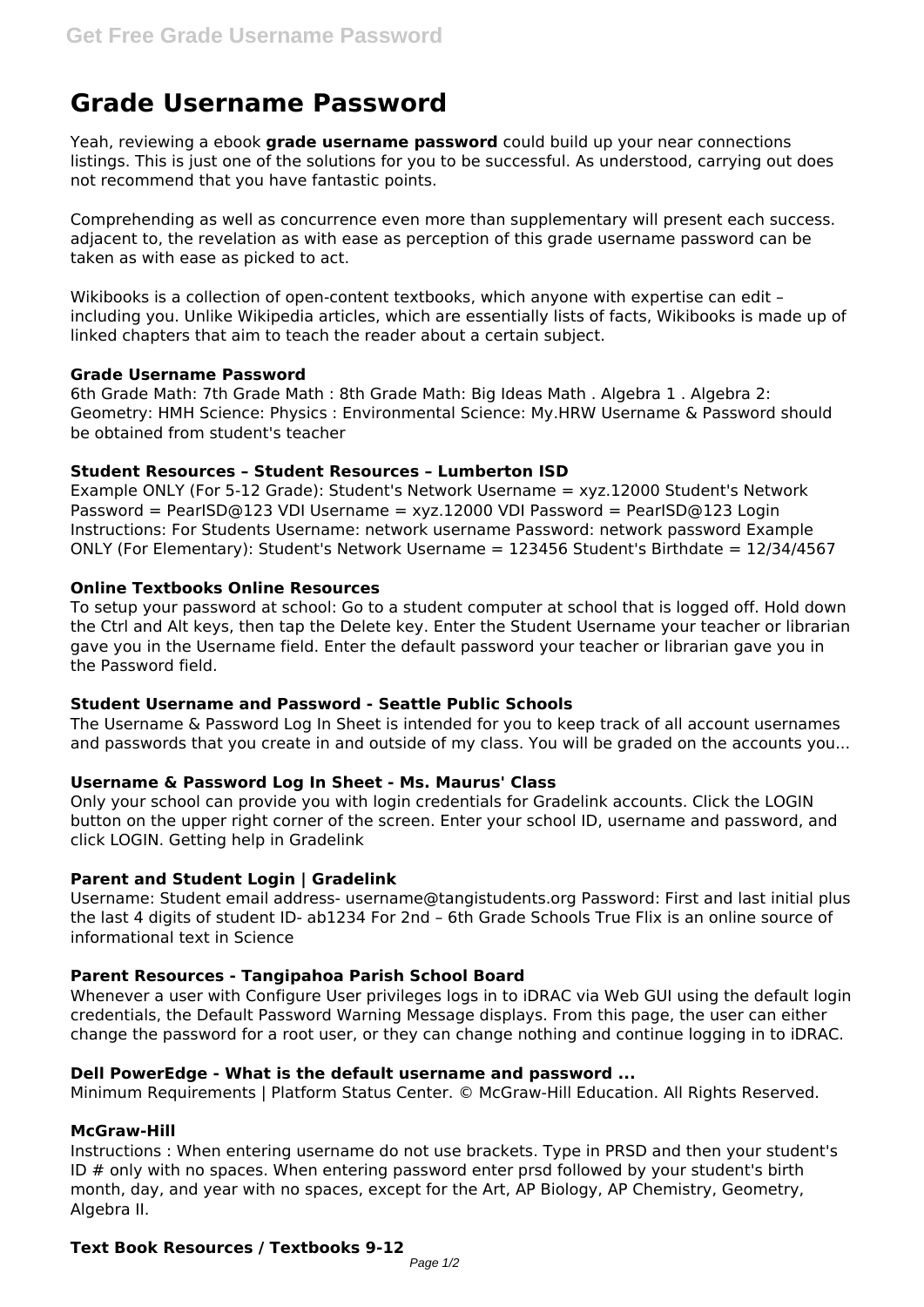# **Grade Username Password**

Yeah, reviewing a ebook **grade username password** could build up your near connections listings. This is just one of the solutions for you to be successful. As understood, carrying out does not recommend that you have fantastic points.

Comprehending as well as concurrence even more than supplementary will present each success. adjacent to, the revelation as with ease as perception of this grade username password can be taken as with ease as picked to act.

Wikibooks is a collection of open-content textbooks, which anyone with expertise can edit including you. Unlike Wikipedia articles, which are essentially lists of facts, Wikibooks is made up of linked chapters that aim to teach the reader about a certain subject.

## **Grade Username Password**

6th Grade Math: 7th Grade Math : 8th Grade Math: Big Ideas Math . Algebra 1 . Algebra 2: Geometry: HMH Science: Physics : Environmental Science: My.HRW Username & Password should be obtained from student's teacher

## **Student Resources – Student Resources – Lumberton ISD**

Example ONLY (For 5-12 Grade): Student's Network Username = xyz.12000 Student's Network Password = PearISD@123 VDI Username = xyz.12000 VDI Password = PearISD@123 Login Instructions: For Students Username: network username Password: network password Example ONLY (For Elementary): Student's Network Username = 123456 Student's Birthdate = 12/34/4567

## **Online Textbooks Online Resources**

To setup your password at school: Go to a student computer at school that is logged off. Hold down the Ctrl and Alt keys, then tap the Delete key. Enter the Student Username your teacher or librarian gave you in the Username field. Enter the default password your teacher or librarian gave you in the Password field.

### **Student Username and Password - Seattle Public Schools**

The Username & Password Log In Sheet is intended for you to keep track of all account usernames and passwords that you create in and outside of my class. You will be graded on the accounts you...

# **Username & Password Log In Sheet - Ms. Maurus' Class**

Only your school can provide you with login credentials for Gradelink accounts. Click the LOGIN button on the upper right corner of the screen. Enter your school ID, username and password, and click LOGIN. Getting help in Gradelink

# **Parent and Student Login | Gradelink**

Username: Student email address- username@tangistudents.org Password: First and last initial plus the last 4 digits of student ID- ab1234 For 2nd – 6th Grade Schools True Flix is an online source of informational text in Science

### **Parent Resources - Tangipahoa Parish School Board**

Whenever a user with Configure User privileges logs in to iDRAC via Web GUI using the default login credentials, the Default Password Warning Message displays. From this page, the user can either change the password for a root user, or they can change nothing and continue logging in to iDRAC.

### **Dell PowerEdge - What is the default username and password ...**

Minimum Requirements | Platform Status Center. © McGraw-Hill Education. All Rights Reserved.

# **McGraw-Hill**

Instructions : When entering username do not use brackets. Type in PRSD and then your student's ID # only with no spaces. When entering password enter prsd followed by your student's birth month, day, and year with no spaces, except for the Art, AP Biology, AP Chemistry, Geometry, Algebra II.

# **Text Book Resources / Textbooks 9-12**